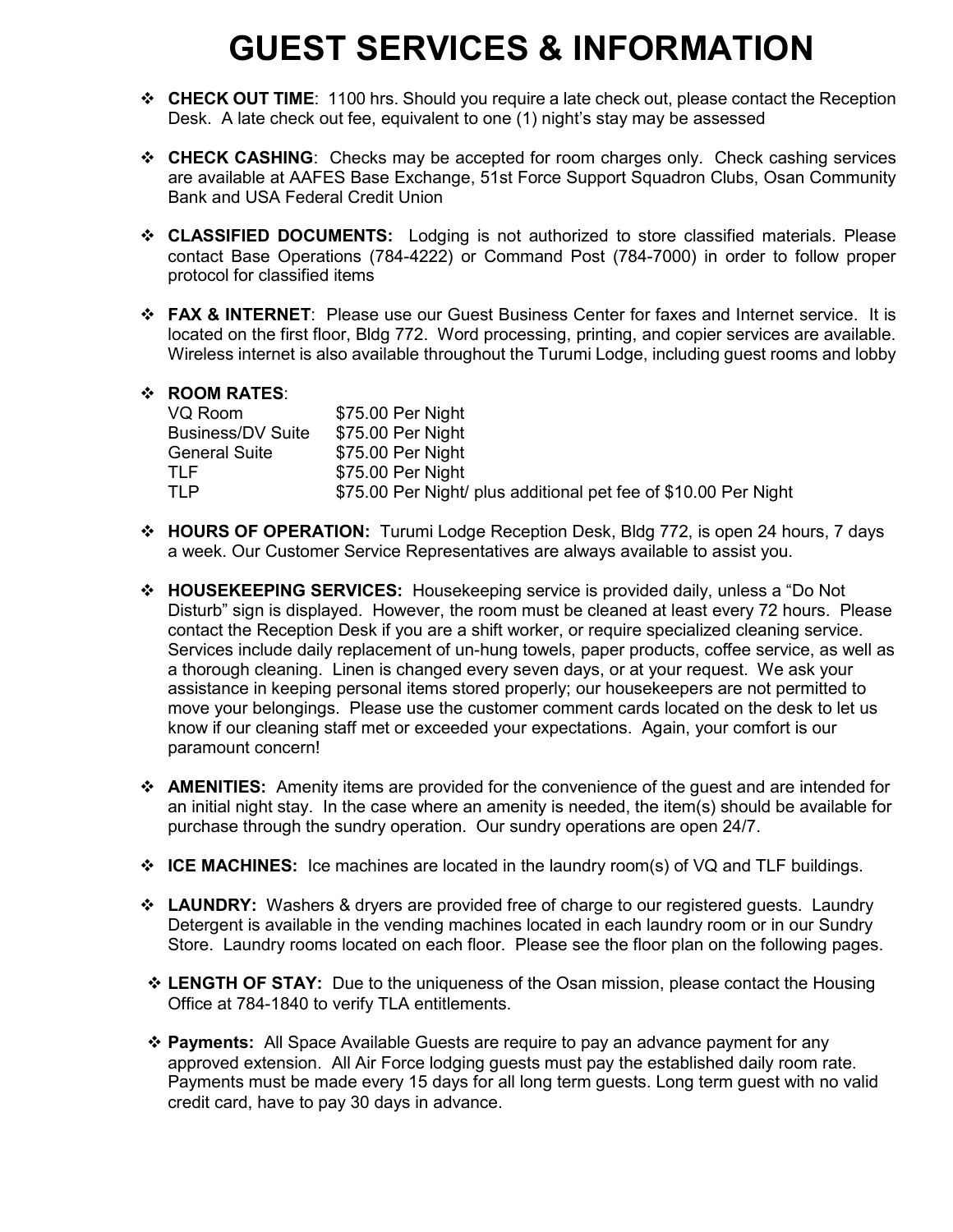## **GUEST SERVICES & INFORMATION**

- **CHECK OUT TIME**: 1100 hrs. Should you require a late check out, please contact the Reception Desk. A late check out fee, equivalent to one (1) night's stay may be assessed
- **CHECK CASHING**: Checks may be accepted for room charges only. Check cashing services are available at AAFES Base Exchange, 51st Force Support Squadron Clubs, Osan Community Bank and USA Federal Credit Union
- **CLASSIFIED DOCUMENTS:** Lodging is not authorized to store classified materials. Please contact Base Operations (784-4222) or Command Post (784-7000) in order to follow proper protocol for classified items
- **FAX & INTERNET**: Please use our Guest Business Center for faxes and Internet service. It is located on the first floor, Bldg 772. Word processing, printing, and copier services are available. Wireless internet is also available throughout the Turumi Lodge, including guest rooms and lobby

## **ROOM RATES**:

| VQ Room                  | \$75.00 Per Night                                               |
|--------------------------|-----------------------------------------------------------------|
| <b>Business/DV Suite</b> | \$75.00 Per Night                                               |
| <b>General Suite</b>     | \$75.00 Per Night                                               |
| TLE.                     | \$75.00 Per Night                                               |
| TI P                     | \$75.00 Per Night/ plus additional pet fee of \$10.00 Per Night |

- **HOURS OF OPERATION:** Turumi Lodge Reception Desk, Bldg 772, is open 24 hours, 7 days a week. Our Customer Service Representatives are always available to assist you.
- **HOUSEKEEPING SERVICES:** Housekeeping service is provided daily, unless a "Do Not Disturb" sign is displayed. However, the room must be cleaned at least every 72 hours. Please contact the Reception Desk if you are a shift worker, or require specialized cleaning service. Services include daily replacement of un-hung towels, paper products, coffee service, as well as a thorough cleaning. Linen is changed every seven days, or at your request. We ask your assistance in keeping personal items stored properly; our housekeepers are not permitted to move your belongings. Please use the customer comment cards located on the desk to let us know if our cleaning staff met or exceeded your expectations. Again, your comfort is our paramount concern!
- **AMENITIES:** Amenity items are provided for the convenience of the guest and are intended for an initial night stay. In the case where an amenity is needed, the item(s) should be available for purchase through the sundry operation. Our sundry operations are open 24/7.
- **ICE MACHINES:** Ice machines are located in the laundry room(s) of VQ and TLF buildings.
- **LAUNDRY:** Washers & dryers are provided free of charge to our registered guests. Laundry Detergent is available in the vending machines located in each laundry room or in our Sundry Store. Laundry rooms located on each floor. Please see the floor plan on the following pages.
- **LENGTH OF STAY:** Due to the uniqueness of the Osan mission, please contact the Housing Office at 784-1840 to verify TLA entitlements.
- **Payments:** All Space Available Guests are require to pay an advance payment for any approved extension. All Air Force lodging guests must pay the established daily room rate. Payments must be made every 15 days for all long term guests. Long term guest with no valid credit card, have to pay 30 days in advance.